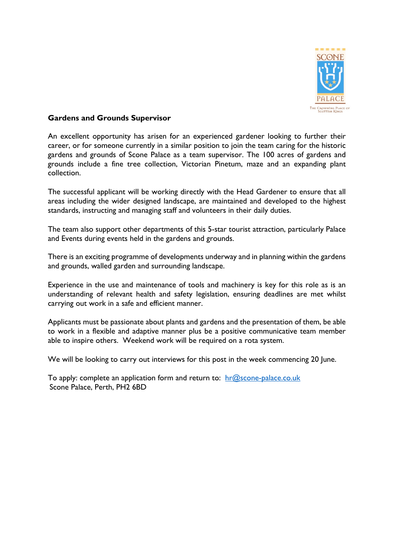

## **Gardens and Grounds Supervisor**

An excellent opportunity has arisen for an experienced gardener looking to further their career, or for someone currently in a similar position to join the team caring for the historic gardens and grounds of Scone Palace as a team supervisor. The 100 acres of gardens and grounds include a fine tree collection, Victorian Pinetum, maze and an expanding plant collection.

The successful applicant will be working directly with the Head Gardener to ensure that all areas including the wider designed landscape, are maintained and developed to the highest standards, instructing and managing staff and volunteers in their daily duties.

The team also support other departments of this 5-star tourist attraction, particularly Palace and Events during events held in the gardens and grounds.

There is an exciting programme of developments underway and in planning within the gardens and grounds, walled garden and surrounding landscape.

Experience in the use and maintenance of tools and machinery is key for this role as is an understanding of relevant health and safety legislation, ensuring deadlines are met whilst carrying out work in a safe and efficient manner.

Applicants must be passionate about plants and gardens and the presentation of them, be able to work in a flexible and adaptive manner plus be a positive communicative team member able to inspire others. Weekend work will be required on a rota system.

We will be looking to carry out interviews for this post in the week commencing 20 June.

To apply: complete an application form and return to: hr@scone-palace.co.uk Scone Palace, Perth, PH2 6BD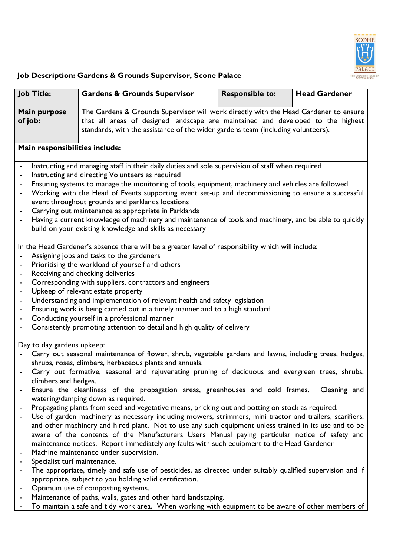

## **Job Description: Gardens & Grounds Supervisor, Scone Palace**

| <b>Job Title:</b>                                                                                                                                      | <b>Gardens &amp; Grounds Supervisor</b>                                                                                                                                                                                                                      | <b>Responsible to:</b> | <b>Head Gardener</b> |  |
|--------------------------------------------------------------------------------------------------------------------------------------------------------|--------------------------------------------------------------------------------------------------------------------------------------------------------------------------------------------------------------------------------------------------------------|------------------------|----------------------|--|
| Main purpose<br>of job:                                                                                                                                | The Gardens & Grounds Supervisor will work directly with the Head Gardener to ensure<br>that all areas of designed landscape are maintained and developed to the highest<br>standards, with the assistance of the wider gardens team (including volunteers). |                        |                      |  |
| Main responsibilities include:                                                                                                                         |                                                                                                                                                                                                                                                              |                        |                      |  |
| Instructing and managing staff in their daily duties and sole supervision of staff when required                                                       |                                                                                                                                                                                                                                                              |                        |                      |  |
| Instructing and directing Volunteers as required                                                                                                       |                                                                                                                                                                                                                                                              |                        |                      |  |
| Ensuring systems to manage the monitoring of tools, equipment, machinery and vehicles are followed                                                     |                                                                                                                                                                                                                                                              |                        |                      |  |
| Working with the Head of Events supporting event set-up and decommissioning to ensure a successful<br>event throughout grounds and parklands locations |                                                                                                                                                                                                                                                              |                        |                      |  |

- Carrying out maintenance as appropriate in Parklands
- Having a current knowledge of machinery and maintenance of tools and machinery, and be able to quickly build on your existing knowledge and skills as necessary

In the Head Gardener's absence there will be a greater level of responsibility which will include:

- Assigning jobs and tasks to the gardeners
- Prioritising the workload of yourself and others
- Receiving and checking deliveries
- Corresponding with suppliers, contractors and engineers
- Upkeep of relevant estate property
- Understanding and implementation of relevant health and safety legislation
- Ensuring work is being carried out in a timely manner and to a high standard
- Conducting yourself in a professional manner
- Consistently promoting attention to detail and high quality of delivery

Day to day gardens upkeep:

- Carry out seasonal maintenance of flower, shrub, vegetable gardens and lawns, including trees, hedges, shrubs, roses, climbers, herbaceous plants and annuals.
- Carry out formative, seasonal and rejuvenating pruning of deciduous and evergreen trees, shrubs, climbers and hedges.
- Ensure the cleanliness of the propagation areas, greenhouses and cold frames. Cleaning and watering/damping down as required.
- Propagating plants from seed and vegetative means, pricking out and potting on stock as required.
- Use of garden machinery as necessary including mowers, strimmers, mini tractor and trailers, scarifiers, and other machinery and hired plant. Not to use any such equipment unless trained in its use and to be aware of the contents of the Manufacturers Users Manual paying particular notice of safety and maintenance notices. Report immediately any faults with such equipment to the Head Gardener
- Machine maintenance under supervision.
- Specialist turf maintenance.
- The appropriate, timely and safe use of pesticides, as directed under suitably qualified supervision and if appropriate, subject to you holding valid certification.
- Optimum use of composting systems.
- Maintenance of paths, walls, gates and other hard landscaping.
- To maintain a safe and tidy work area. When working with equipment to be aware of other members of